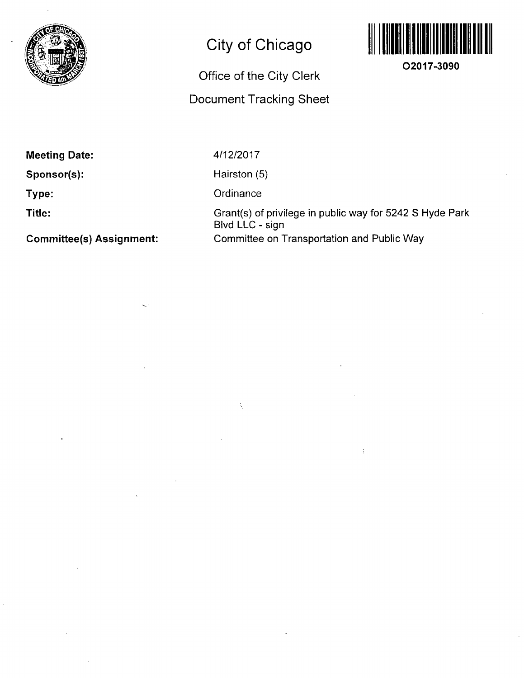

## **City of Chicago**

## **Office of the City Clerk**

## **Document Tracking Sheet**



**02017-3090** 

**Meeting Date:** 

**Sponsor(s):** 

**Type:** 

**Title:** 

**Committee(s) Assignment:** 

4/12/2017

Hairston (5)

**Ordinance** 

 $\hat{\lambda}$ 

Grant(s) of privilege in public way for 5242 S Hyde Park Blvd LLC - sign **Committee on Transportation and Public Way**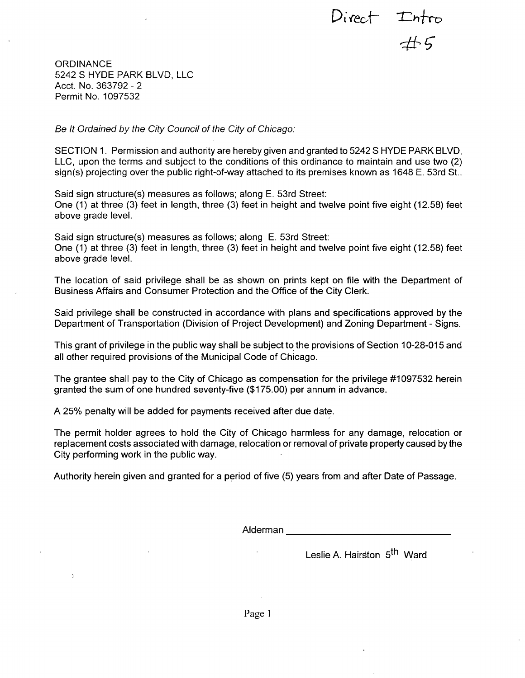Direct  $\begin{array}{cc} \text{Direct} \\ \text{4.5} \end{array}$ 

**ORDINANCE** 5242 S HYDE PARK BLVD, LLC Acct. No. 363792 - 2 Permit No. 1097532

 $\mathbf{r}$ 

*Be It Ordained by the City Council of the City of Chicago:* 

SECTION 1. Permission and authority are hereby given and granted to 5242 S HYDE PARK BLVD, LLC, upon the terms and subject to the conditions of this ordinance to maintain and use two (2) sign(s) projecting over the public right-of-way attached to its premises known as 1648 E. 53rd St..

Said sign structure(s) measures as follows; along E. 53rd Street: One (1) at three (3) feet in length, three (3) feet in height and twelve point five eight (12.58) feet above grade level.

Said sign structure(s) measures as follows; along E. 53rd Street: One (1) at three (3) feet in length, three (3) feet in height and twelve point five eight (12.58) feet above grade level.

The location of said privilege shall be as shown on prints kept on file with the Department of Business Affairs and Consumer Protection and the Office of the City Clerk.

Said privilege shall be constructed in accordance with plans and specifications approved by the Department of Transportation (Division of Project Development) and Zoning Department - Signs.

This grant of privilege in the public way shall be subject to the provisions of Section 10-28-015 and all other required provisions of the Municipal Code of Chicago.

The grantee shall pay to the City of Chicago as compensation for the privilege #1097532 herein granted the sum of one hundred seventy-five (\$175.00) per annum in advance.

A 25% penalty will be added for payments received after due date.

The permit holder agrees to hold the City of Chicago harmless for any damage, relocation or replacement costs associated with damage, relocation or removal of private property caused by the City performing work in the public way.

Authority herein given and granted for a period of five (5) years from and after Date of Passage.

Alderman

Leslie A. Hairston, 5<sup>th</sup> Ward

Page 1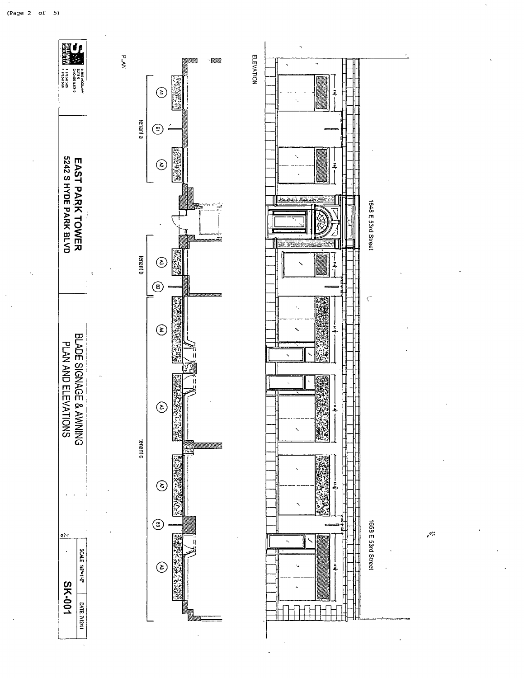